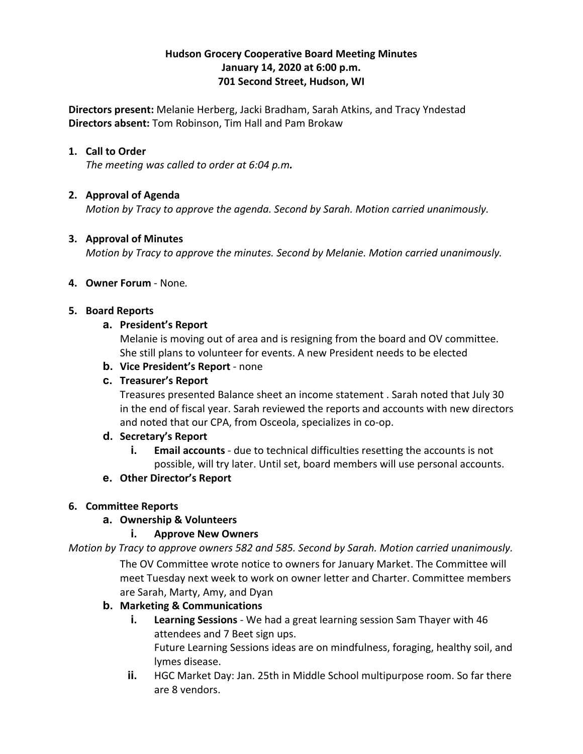# **Hudson Grocery Cooperative Board Meeting Minutes January 14, 2020 at 6:00 p.m. 701 Second Street, Hudson, WI**

**Directors present:** Melanie Herberg, Jacki Bradham, Sarah Atkins, and Tracy Yndestad **Directors absent:** Tom Robinson, Tim Hall and Pam Brokaw

## **1. Call to Order**

*The meeting was called to order at 6:04 p.m.*

# **2. Approval of Agenda**

*Motion by Tracy to approve the agenda. Second by Sarah. Motion carried unanimously.*

## **3. Approval of Minutes**

*Motion by Tracy to approve the minutes. Second by Melanie. Motion carried unanimously.*

## **4. Owner Forum** - None*.*

#### **5. Board Reports**

#### **a. President's Report**

Melanie is moving out of area and is resigning from the board and OV committee. She still plans to volunteer for events. A new President needs to be elected

**b. Vice President's Report** - none

# **c. Treasurer's Report**

Treasures presented Balance sheet an income statement . Sarah noted that July 30 in the end of fiscal year. Sarah reviewed the reports and accounts with new directors and noted that our CPA, from Osceola, specializes in co-op.

## **d. Secretary's Report**

**i. Email accounts** - due to technical difficulties resetting the accounts is not possible, will try later. Until set, board members will use personal accounts.

## **e. Other Director's Report**

## **6. Committee Reports**

## **a. Ownership & Volunteers**

## **i. Approve New Owners**

*Motion by Tracy to approve owners 582 and 585. Second by Sarah. Motion carried unanimously.*

The OV Committee wrote notice to owners for January Market. The Committee will meet Tuesday next week to work on owner letter and Charter. Committee members are Sarah, Marty, Amy, and Dyan

## **b. Marketing & Communications**

**i. Learning Sessions** - We had a great learning session Sam Thayer with 46 attendees and 7 Beet sign ups.

Future Learning Sessions ideas are on mindfulness, foraging, healthy soil, and lymes disease.

**ii.** HGC Market Day: Jan. 25th in Middle School multipurpose room. So far there are 8 vendors.